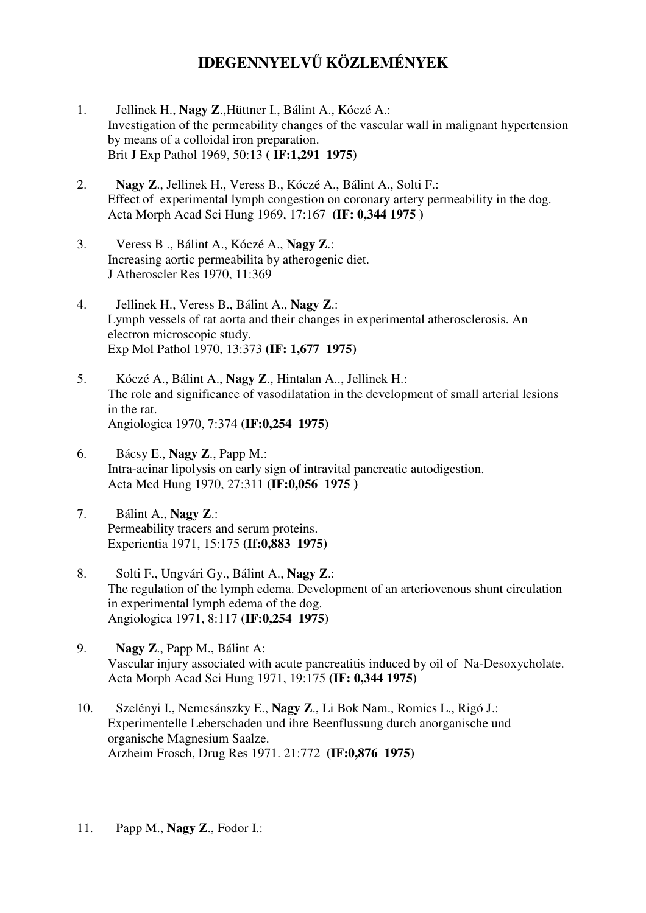## **IDEGENNYELV**Ű **KÖZLEMÉNYEK**

- 1. Jellinek H., **Nagy Z**.,Hüttner I., Bálint A., Kóczé A.: Investigation of the permeability changes of the vascular wall in malignant hypertension by means of a colloidal iron preparation. Brit J Exp Pathol 1969, 50:13 **( IF:1,291 1975)**
- 2. **Nagy Z**., Jellinek H., Veress B., Kóczé A., Bálint A., Solti F.: Effect of experimental lymph congestion on coronary artery permeability in the dog. Acta Morph Acad Sci Hung 1969, 17:167 **(IF: 0,344 1975 )**
- 3. Veress B ., Bálint A., Kóczé A., **Nagy Z**.: Increasing aortic permeabilita by atherogenic diet. J Atheroscler Res 1970, 11:369
- 4. Jellinek H., Veress B., Bálint A., **Nagy Z**.: Lymph vessels of rat aorta and their changes in experimental atherosclerosis. An electron microscopic study. Exp Mol Pathol 1970, 13:373 **(IF: 1,677 1975)**
- 5. Kóczé A., Bálint A., **Nagy Z**., Hintalan A.., Jellinek H.: The role and significance of vasodilatation in the development of small arterial lesions in the rat. Angiologica 1970, 7:374 **(IF:0,254 1975)**
- 6. Bácsy E., **Nagy Z**., Papp M.: Intra-acinar lipolysis on early sign of intravital pancreatic autodigestion. Acta Med Hung 1970, 27:311 **(IF:0,056 1975 )**
- 7. Bálint A., **Nagy Z**.: Permeability tracers and serum proteins. Experientia 1971, 15:175 **(If:0,883 1975)**
- 8. Solti F., Ungvári Gy., Bálint A., **Nagy Z**.: The regulation of the lymph edema. Development of an arteriovenous shunt circulation in experimental lymph edema of the dog. Angiologica 1971, 8:117 **(IF:0,254 1975)**
- 9. **Nagy Z**., Papp M., Bálint A: Vascular injury associated with acute pancreatitis induced by oil of Na-Desoxycholate. Acta Morph Acad Sci Hung 1971, 19:175 **(IF: 0,344 1975)**
- 10. Szelényi I., Nemesánszky E., **Nagy Z**., Li Bok Nam., Romics L., Rigó J.: Experimentelle Leberschaden und ihre Beenflussung durch anorganische und organische Magnesium Saalze. Arzheim Frosch, Drug Res 1971. 21:772 **(IF:0,876 1975)**
- 11. Papp M., **Nagy Z**., Fodor I.: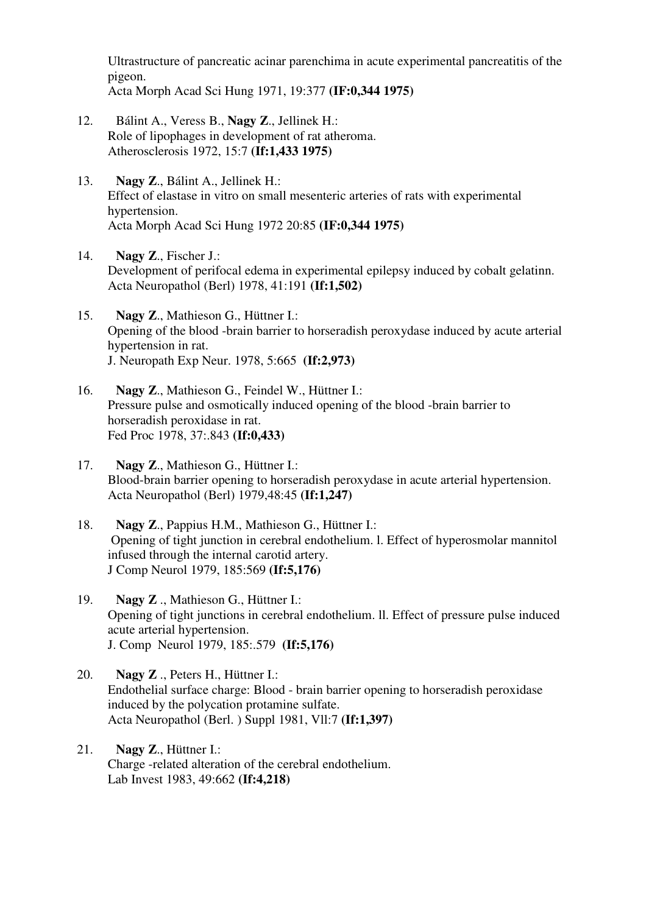Ultrastructure of pancreatic acinar parenchima in acute experimental pancreatitis of the pigeon. Acta Morph Acad Sci Hung 1971, 19:377 **(IF:0,344 1975)** 

- 12. Bálint A., Veress B., **Nagy Z**., Jellinek H.: Role of lipophages in development of rat atheroma. Atherosclerosis 1972, 15:7 **(If:1,433 1975)**
- 13. **Nagy Z**., Bálint A., Jellinek H.: Effect of elastase in vitro on small mesenteric arteries of rats with experimental hypertension. Acta Morph Acad Sci Hung 1972 20:85 **(IF:0,344 1975)**
- 14. **Nagy Z**., Fischer J.: Development of perifocal edema in experimental epilepsy induced by cobalt gelatinn. Acta Neuropathol (Berl) 1978, 41:191 **(If:1,502)**
- 15. **Nagy Z**., Mathieson G., Hüttner I.: Opening of the blood -brain barrier to horseradish peroxydase induced by acute arterial hypertension in rat. J. Neuropath Exp Neur. 1978, 5:665 **(If:2,973)**
- 16. **Nagy Z**., Mathieson G., Feindel W., Hüttner I.: Pressure pulse and osmotically induced opening of the blood -brain barrier to horseradish peroxidase in rat. Fed Proc 1978, 37:.843 **(If:0,433)**
- 17. **Nagy Z**., Mathieson G., Hüttner I.: Blood-brain barrier opening to horseradish peroxydase in acute arterial hypertension. Acta Neuropathol (Berl) 1979,48:45 **(If:1,247)**
- 18. **Nagy Z**., Pappius H.M., Mathieson G., Hüttner I.: Opening of tight junction in cerebral endothelium. l. Effect of hyperosmolar mannitol infused through the internal carotid artery. J Comp Neurol 1979, 185:569 **(If:5,176)**
- 19. **Nagy Z** ., Mathieson G., Hüttner I.: Opening of tight junctions in cerebral endothelium. ll. Effect of pressure pulse induced acute arterial hypertension. J. Comp Neurol 1979, 185:.579 **(If:5,176)**
- 20. **Nagy Z** ., Peters H., Hüttner I.: Endothelial surface charge: Blood - brain barrier opening to horseradish peroxidase induced by the polycation protamine sulfate. Acta Neuropathol (Berl. ) Suppl 1981, Vll:7 **(If:1,397)**
- 21. **Nagy Z**., Hüttner I.: Charge -related alteration of the cerebral endothelium. Lab Invest 1983, 49:662 **(If:4,218)**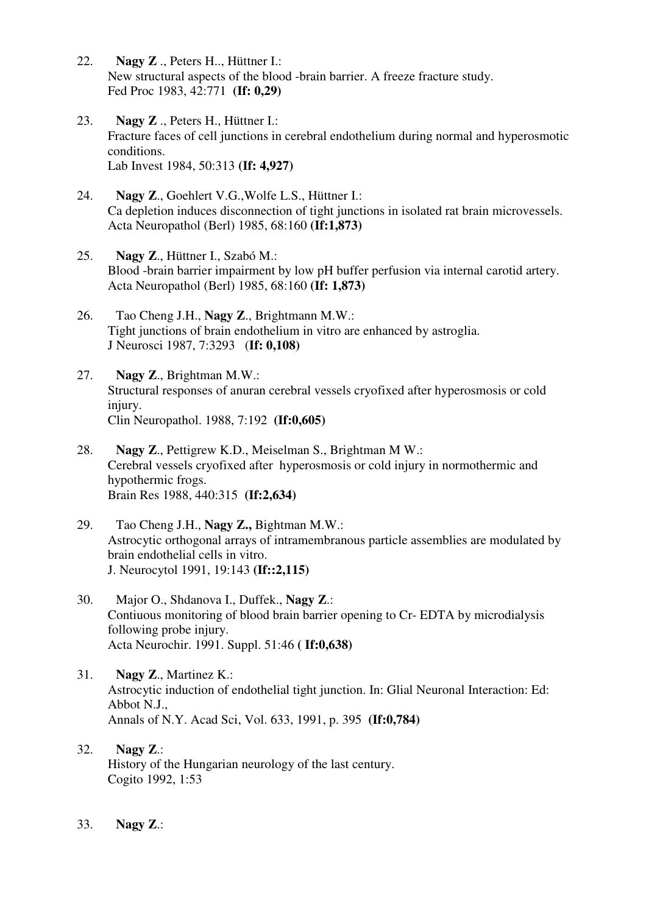- 22. **Nagy Z** ., Peters H.., Hüttner I.: New structural aspects of the blood -brain barrier. A freeze fracture study. Fed Proc 1983, 42:771 **(If: 0,29)**
- 23. **Nagy Z** ., Peters H., Hüttner I.: Fracture faces of cell junctions in cerebral endothelium during normal and hyperosmotic conditions. Lab Invest 1984, 50:313 **(If: 4,927)**
- 24. **Nagy Z**., Goehlert V.G.,Wolfe L.S., Hüttner I.: Ca depletion induces disconnection of tight junctions in isolated rat brain microvessels. Acta Neuropathol (Berl) 1985, 68:160 **(If:1,873)**
- 25. **Nagy Z**., Hüttner I., Szabó M.: Blood -brain barrier impairment by low pH buffer perfusion via internal carotid artery. Acta Neuropathol (Berl) 1985, 68:160 **(If: 1,873)**
- 26. Tao Cheng J.H., **Nagy Z**., Brightmann M.W.: Tight junctions of brain endothelium in vitro are enhanced by astroglia. J Neurosci 1987, 7:3293 (**If: 0,108)**
- 27. **Nagy Z**., Brightman M.W.: Structural responses of anuran cerebral vessels cryofixed after hyperosmosis or cold injury. Clin Neuropathol. 1988, 7:192 **(If:0,605)**
- 28. **Nagy Z**., Pettigrew K.D., Meiselman S., Brightman M W.: Cerebral vessels cryofixed after hyperosmosis or cold injury in normothermic and hypothermic frogs. Brain Res 1988, 440:315 **(If:2,634)**
- 29. Tao Cheng J.H., **Nagy Z.,** Bightman M.W.: Astrocytic orthogonal arrays of intramembranous particle assemblies are modulated by brain endothelial cells in vitro. J. Neurocytol 1991, 19:143 **(If::2,115)**
- 30. Major O., Shdanova I., Duffek., **Nagy Z**.: Contiuous monitoring of blood brain barrier opening to Cr- EDTA by microdialysis following probe injury. Acta Neurochir. 1991. Suppl. 51:46 **( If:0,638)**
- 31. **Nagy Z**., Martinez K.: Astrocytic induction of endothelial tight junction. In: Glial Neuronal Interaction: Ed: Abbot N.J., Annals of N.Y. Acad Sci, Vol. 633, 1991, p. 395 **(If:0,784)**
- 32. **Nagy Z**.: History of the Hungarian neurology of the last century. Cogito 1992, 1:53
- 33. **Nagy Z**.: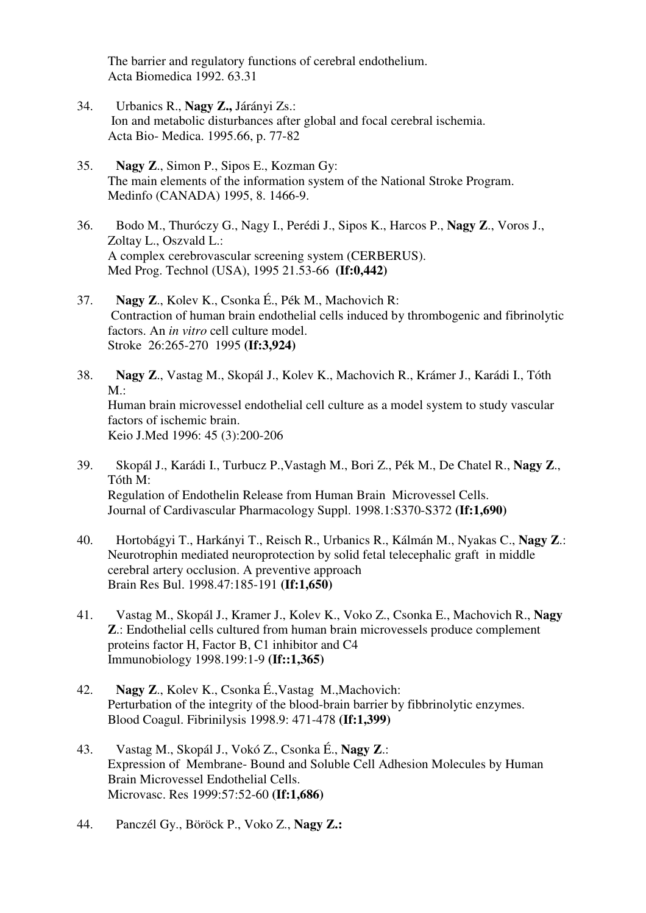The barrier and regulatory functions of cerebral endothelium. Acta Biomedica 1992. 63.31

- 34. Urbanics R., **Nagy Z.,** Járányi Zs.: Ion and metabolic disturbances after global and focal cerebral ischemia. Acta Bio- Medica. 1995.66, p. 77-82
- 35. **Nagy Z**., Simon P., Sipos E., Kozman Gy: The main elements of the information system of the National Stroke Program. Medinfo (CANADA) 1995, 8. 1466-9.
- 36. Bodo M., Thuróczy G., Nagy I., Perédi J., Sipos K., Harcos P., **Nagy Z**., Voros J., Zoltay L., Oszvald L.: A complex cerebrovascular screening system (CERBERUS). Med Prog. Technol (USA), 1995 21.53-66 **(If:0,442)**
- 37. **Nagy Z**., Kolev K., Csonka É., Pék M., Machovich R: Contraction of human brain endothelial cells induced by thrombogenic and fibrinolytic factors. An *in vitro* cell culture model. Stroke 26:265-270 1995 **(If:3,924)**
- 38. **Nagy Z**., Vastag M., Skopál J., Kolev K., Machovich R., Krámer J., Karádi I., Tóth  $M \cdot$ Human brain microvessel endothelial cell culture as a model system to study vascular factors of ischemic brain. Keio J.Med 1996: 45 (3):200-206
- 39. Skopál J., Karádi I., Turbucz P.,Vastagh M., Bori Z., Pék M., De Chatel R., **Nagy Z**., Tóth M: Regulation of Endothelin Release from Human Brain Microvessel Cells. Journal of Cardivascular Pharmacology Suppl. 1998.1:S370-S372 **(If:1,690)**
- 40. Hortobágyi T., Harkányi T., Reisch R., Urbanics R., Kálmán M., Nyakas C., **Nagy Z**.: Neurotrophin mediated neuroprotection by solid fetal telecephalic graft in middle cerebral artery occlusion. A preventive approach Brain Res Bul. 1998.47:185-191 **(If:1,650)**
- 41. Vastag M., Skopál J., Kramer J., Kolev K., Voko Z., Csonka E., Machovich R., **Nagy Z**.: Endothelial cells cultured from human brain microvessels produce complement proteins factor H, Factor B, C1 inhibitor and C4 Immunobiology 1998.199:1-9 **(If::1,365)**
- 42. **Nagy Z**., Kolev K., Csonka É.,Vastag M.,Machovich: Perturbation of the integrity of the blood-brain barrier by fibbrinolytic enzymes. Blood Coagul. Fibrinilysis 1998.9: 471-478 **(If:1,399)**
- 43. Vastag M., Skopál J., Vokó Z., Csonka É., **Nagy Z**.: Expression of Membrane- Bound and Soluble Cell Adhesion Molecules by Human Brain Microvessel Endothelial Cells. Microvasc. Res 1999:57:52-60 **(If:1,686)**
- 44. Panczél Gy., Böröck P., Voko Z., **Nagy Z.:**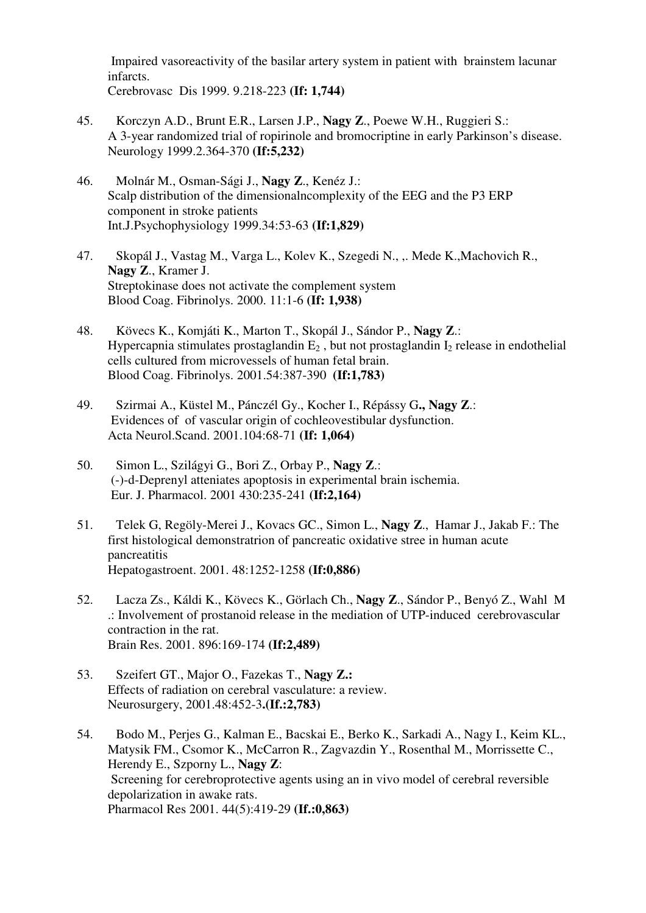Impaired vasoreactivity of the basilar artery system in patient with brainstem lacunar infarcts. Cerebrovasc Dis 1999. 9.218-223 **(If: 1,744)**

- 45. Korczyn A.D., Brunt E.R., Larsen J.P., **Nagy Z**., Poewe W.H., Ruggieri S.: A 3-year randomized trial of ropirinole and bromocriptine in early Parkinson's disease. Neurology 1999.2.364-370 **(If:5,232)**
- 46. Molnár M., Osman-Sági J., **Nagy Z**., Kenéz J.: Scalp distribution of the dimensionalncomplexity of the EEG and the P3 ERP component in stroke patients Int.J.Psychophysiology 1999.34:53-63 **(If:1,829)**
- 47. Skopál J., Vastag M., Varga L., Kolev K., Szegedi N., ,. Mede K.,Machovich R., **Nagy Z**., Kramer J. Streptokinase does not activate the complement system Blood Coag. Fibrinolys. 2000. 11:1-6 **(If: 1,938)**
- 48. Kövecs K., Komjáti K., Marton T., Skopál J., Sándor P., **Nagy Z**.: Hypercapnia stimulates prostaglandin  $E_2$ , but not prostaglandin  $I_2$  release in endothelial cells cultured from microvessels of human fetal brain. Blood Coag. Fibrinolys. 2001.54:387-390 **(If:1,783)**
- 49. Szirmai A., Küstel M., Pánczél Gy., Kocher I., Répássy G**., Nagy Z**.: Evidences of of vascular origin of cochleovestibular dysfunction. Acta Neurol.Scand. 2001.104:68-71 **(If: 1,064)**
- 50. Simon L., Szilágyi G., Bori Z., Orbay P., **Nagy Z**.: (-)-d-Deprenyl atteniates apoptosis in experimental brain ischemia. Eur. J. Pharmacol. 2001 430:235-241 **(If:2,164)**
- 51. Telek G, Regöly-Merei J., Kovacs GC., Simon L., **Nagy Z**., Hamar J., Jakab F.: The first histological demonstratrion of pancreatic oxidative stree in human acute pancreatitis Hepatogastroent. 2001. 48:1252-1258 **(If:0,886)**
- 52. Lacza Zs., Káldi K., Kövecs K., Görlach Ch., **Nagy Z**., Sándor P., Benyó Z., Wahl M .: Involvement of prostanoid release in the mediation of UTP-induced cerebrovascular contraction in the rat. Brain Res. 2001. 896:169-174 **(If:2,489)**
- 53. Szeifert GT., Major O., Fazekas T., **Nagy Z.:** Effects of radiation on cerebral vasculature: a review. Neurosurgery, 2001.48:452-3**.(If.:2,783)**
- 54. Bodo M., Perjes G., Kalman E., Bacskai E., Berko K., Sarkadi A., Nagy I., Keim KL., Matysik FM., Csomor K., McCarron R., Zagvazdin Y., Rosenthal M., Morrissette C., Herendy E., Szporny L., **Nagy Z**: Screening for cerebroprotective agents using an in vivo model of cerebral reversible depolarization in awake rats. Pharmacol Res 2001. 44(5):419-29 **(If.:0,863)**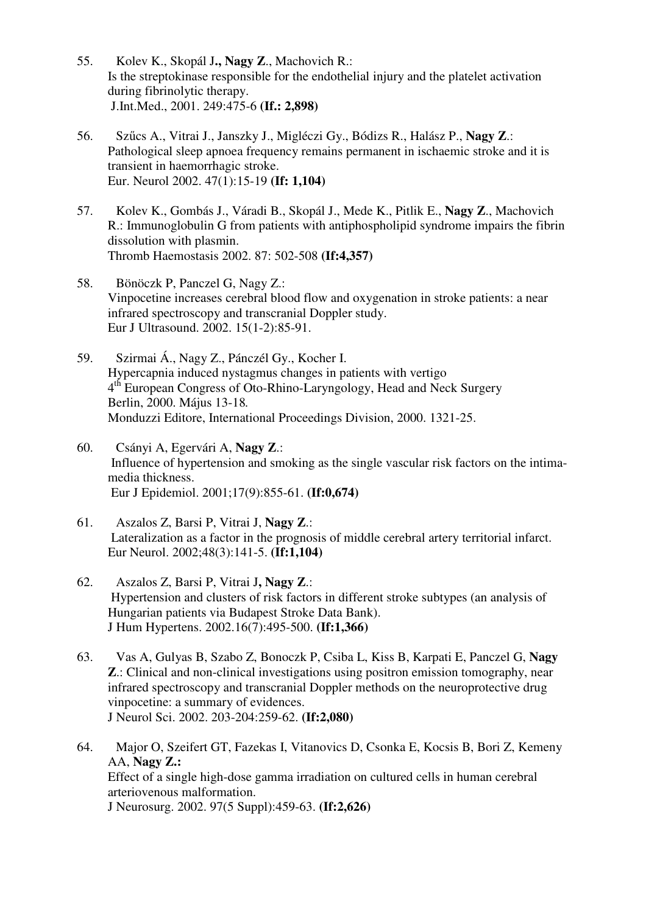- 55. Kolev K., Skopál J**., Nagy Z**., Machovich R.: Is the streptokinase responsible for the endothelial injury and the platelet activation during fibrinolytic therapy. J.Int.Med., 2001. 249:475-6 **(If.: 2,898)**
- 56. Szűcs A., Vitrai J., Janszky J., Migléczi Gy., Bódizs R., Halász P., **Nagy Z**.: Pathological sleep apnoea frequency remains permanent in ischaemic stroke and it is transient in haemorrhagic stroke. Eur. Neurol 2002. 47(1):15-19 **(If: 1,104)**
- 57. Kolev K., Gombás J., Váradi B., Skopál J., Mede K., Pitlik E., **Nagy Z**., Machovich R.: Immunoglobulin G from patients with antiphospholipid syndrome impairs the fibrin dissolution with plasmin. Thromb Haemostasis 2002. 87: 502-508 **(If:4,357)**
- 58. Bönöczk P, Panczel G, Nagy Z.: Vinpocetine increases cerebral blood flow and oxygenation in stroke patients: a near infrared spectroscopy and transcranial Doppler study. Eur J Ultrasound. 2002. 15(1-2):85-91.
- 59. Szirmai Á., Nagy Z., Pánczél Gy., Kocher I. Hypercapnia induced nystagmus changes in patients with vertigo 4<sup>th</sup> European Congress of Oto-Rhino-Laryngology, Head and Neck Surgery Berlin, 2000. Május 13-18*.* Monduzzi Editore, International Proceedings Division, 2000. 1321-25.
- 60. Csányi A, Egervári A, **Nagy Z**.: Influence of hypertension and smoking as the single vascular risk factors on the intimamedia thickness. Eur J Epidemiol. 2001;17(9):855-61. **(If:0,674)**
- 61. Aszalos Z, Barsi P, Vitrai J, **Nagy Z**.: Lateralization as a factor in the prognosis of middle cerebral artery territorial infarct. Eur Neurol. 2002;48(3):141-5. **(If:1,104)**
- 62. Aszalos Z, Barsi P, Vitrai J**, Nagy Z**.: Hypertension and clusters of risk factors in different stroke subtypes (an analysis of Hungarian patients via Budapest Stroke Data Bank). J Hum Hypertens. 2002.16(7):495-500. **(If:1,366)**
- 63. Vas A, Gulyas B, Szabo Z, Bonoczk P, Csiba L, Kiss B, Karpati E, Panczel G, **Nagy Z**.: Clinical and non-clinical investigations using positron emission tomography, near infrared spectroscopy and transcranial Doppler methods on the neuroprotective drug vinpocetine: a summary of evidences. J Neurol Sci. 2002. 203-204:259-62. **(If:2,080)**
- 64. Major O, Szeifert GT, Fazekas I, Vitanovics D, Csonka E, Kocsis B, Bori Z, Kemeny AA, **Nagy Z.:** Effect of a single high-dose gamma irradiation on cultured cells in human cerebral arteriovenous malformation. J Neurosurg. 2002. 97(5 Suppl):459-63. **(If:2,626)**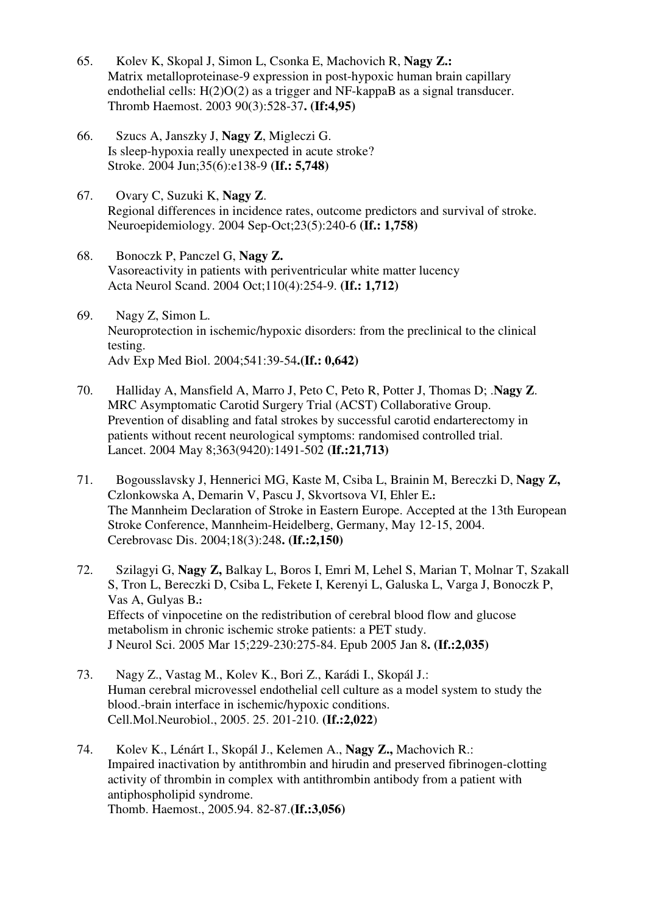- 65. Kolev K, Skopal J, Simon L, Csonka E, Machovich R, **Nagy Z.:** Matrix metalloproteinase-9 expression in post-hypoxic human brain capillary endothelial cells: H(2)O(2) as a trigger and NF-kappaB as a signal transducer. Thromb Haemost. 2003 90(3):528-37**. (If:4,95)**
- 66. Szucs A, Janszky J, **Nagy Z**, Migleczi G. Is sleep-hypoxia really unexpected in acute stroke? Stroke. 2004 Jun;35(6):e138-9 **(If.: 5,748)**
- 67. Ovary C, Suzuki K, **Nagy Z**. Regional differences in incidence rates, outcome predictors and survival of stroke. Neuroepidemiology. 2004 Sep-Oct;23(5):240-6 **(If.: 1,758)**
- 68. Bonoczk P, Panczel G, **Nagy Z.** Vasoreactivity in patients with periventricular white matter lucency Acta Neurol Scand. 2004 Oct;110(4):254-9. **(If.: 1,712)**
- 69. Nagy Z, Simon L. Neuroprotection in ischemic/hypoxic disorders: from the preclinical to the clinical testing. Adv Exp Med Biol. 2004;541:39-54**.(If.: 0,642)**
- 70. Halliday A, Mansfield A, Marro J, Peto C, Peto R, Potter J, Thomas D; .**Nagy Z**. MRC Asymptomatic Carotid Surgery Trial (ACST) Collaborative Group. Prevention of disabling and fatal strokes by successful carotid endarterectomy in patients without recent neurological symptoms: randomised controlled trial. Lancet. 2004 May 8;363(9420):1491-502 **(If.:21,713)**
- 71. Bogousslavsky J, Hennerici MG, Kaste M, Csiba L, Brainin M, Bereczki D, **Nagy Z,** Czlonkowska A, Demarin V, Pascu J, Skvortsova VI, Ehler E**.:**  The Mannheim Declaration of Stroke in Eastern Europe. Accepted at the 13th European Stroke Conference, Mannheim-Heidelberg, Germany, May 12-15, 2004. Cerebrovasc Dis. 2004;18(3):248**. (If.:2,150)**
- 72. Szilagyi G, **Nagy Z,** Balkay L, Boros I, Emri M, Lehel S, Marian T, Molnar T, Szakall S, Tron L, Bereczki D, Csiba L, Fekete I, Kerenyi L, Galuska L, Varga J, Bonoczk P, Vas A, Gulyas B**.:**  Effects of vinpocetine on the redistribution of cerebral blood flow and glucose metabolism in chronic ischemic stroke patients: a PET study. J Neurol Sci. 2005 Mar 15;229-230:275-84. Epub 2005 Jan 8**. (If.:2,035)**
- 73. Nagy Z., Vastag M., Kolev K., Bori Z., Karádi I., Skopál J.: Human cerebral microvessel endothelial cell culture as a model system to study the blood.-brain interface in ischemic/hypoxic conditions. Cell.Mol.Neurobiol., 2005. 25. 201-210. **(If.:2,022**)
- 74. Kolev K., Lénárt I., Skopál J., Kelemen A., **Nagy Z.,** Machovich R.: Impaired inactivation by antithrombin and hirudin and preserved fibrinogen-clotting activity of thrombin in complex with antithrombin antibody from a patient with antiphospholipid syndrome. Thomb. Haemost., 2005.94. 82-87.**(If.:3,056)**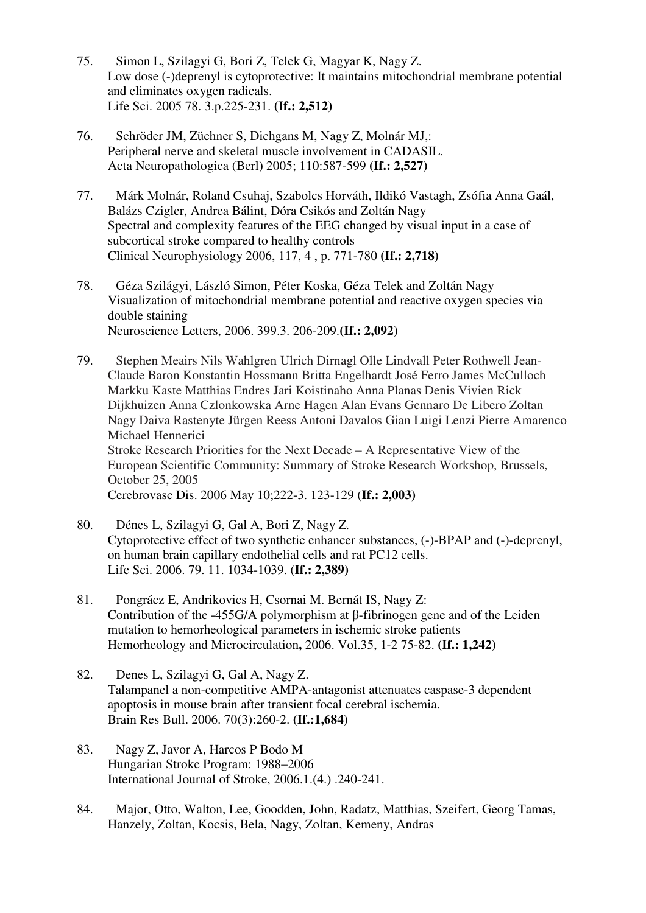- 75. Simon L, Szilagyi G, Bori Z, Telek G, Magyar K, Nagy Z. Low dose (-)deprenyl is cytoprotective: It maintains mitochondrial membrane potential and eliminates oxygen radicals. Life Sci. 2005 78. 3.p.225-231. **(If.: 2,512)**
- 76. Schröder JM, Züchner S, Dichgans M, Nagy Z, Molnár MJ,: Peripheral nerve and skeletal muscle involvement in CADASIL. Acta Neuropathologica (Berl) 2005; 110:587-599 **(If.: 2,527)**
- 77. Márk Molnár, Roland Csuhaj, Szabolcs Horváth, Ildikó Vastagh, Zsófia Anna Gaál, Balázs Czigler, Andrea Bálint, Dóra Csikós and Zoltán Nagy Spectral and complexity features of the EEG changed by visual input in a case of subcortical stroke compared to healthy controls Clinical Neurophysiology 2006, 117, 4 , p. 771-780 **(If.: 2,718)**
- 78. Géza Szilágyi, László Simon, Péter Koska, Géza Telek and Zoltán Nagy Visualization of mitochondrial membrane potential and reactive oxygen species via double staining Neuroscience Letters, 2006. 399.3. 206-209.**(If.: 2,092)**
- 79. Stephen Meairs Nils Wahlgren Ulrich Dirnagl Olle Lindvall Peter Rothwell Jean-Claude Baron Konstantin Hossmann Britta Engelhardt José Ferro James McCulloch Markku Kaste Matthias Endres Jari Koistinaho Anna Planas Denis Vivien Rick Dijkhuizen Anna Czlonkowska Arne Hagen Alan Evans Gennaro De Libero Zoltan Nagy Daiva Rastenyte Jürgen Reess Antoni Davalos Gian Luigi Lenzi Pierre Amarenco Michael Hennerici Stroke Research Priorities for the Next Decade – A Representative View of the European Scientific Community: Summary of Stroke Research Workshop, Brussels, October 25, 2005 Cerebrovasc Dis. 2006 May 10;222-3. 123-129 (**If.: 2,003)**
- 80. Dénes L, Szilagyi G, Gal A, Bori Z, Nagy Z. Cytoprotective effect of two synthetic enhancer substances, (-)-BPAP and (-)-deprenyl, on human brain capillary endothelial cells and rat PC12 cells. Life Sci. 2006. 79. 11. 1034-1039. (**If.: 2,389)**
- 81. Pongrácz E, Andrikovics H, Csornai M. Bernát IS, Nagy Z: Contribution of the -455G/A polymorphism at β-fibrinogen gene and of the Leiden mutation to hemorheological parameters in ischemic stroke patients Hemorheology and Microcirculation**,** 2006. Vol.35, 1-2 75-82. **(If.: 1,242)**
- 82. Denes L, Szilagyi G, Gal A, Nagy Z. Talampanel a non-competitive AMPA-antagonist attenuates caspase-3 dependent apoptosis in mouse brain after transient focal cerebral ischemia. Brain Res Bull. 2006. 70(3):260-2. **(If.:1,684)**
- 83. Nagy Z, Javor A, Harcos P Bodo M Hungarian Stroke Program: 1988–2006 International Journal of Stroke, 2006.1.(4.) .240-241.
- 84. Major, Otto, Walton, Lee, Goodden, John, Radatz, Matthias, Szeifert, Georg Tamas, Hanzely, Zoltan, Kocsis, Bela, Nagy, Zoltan, Kemeny, Andras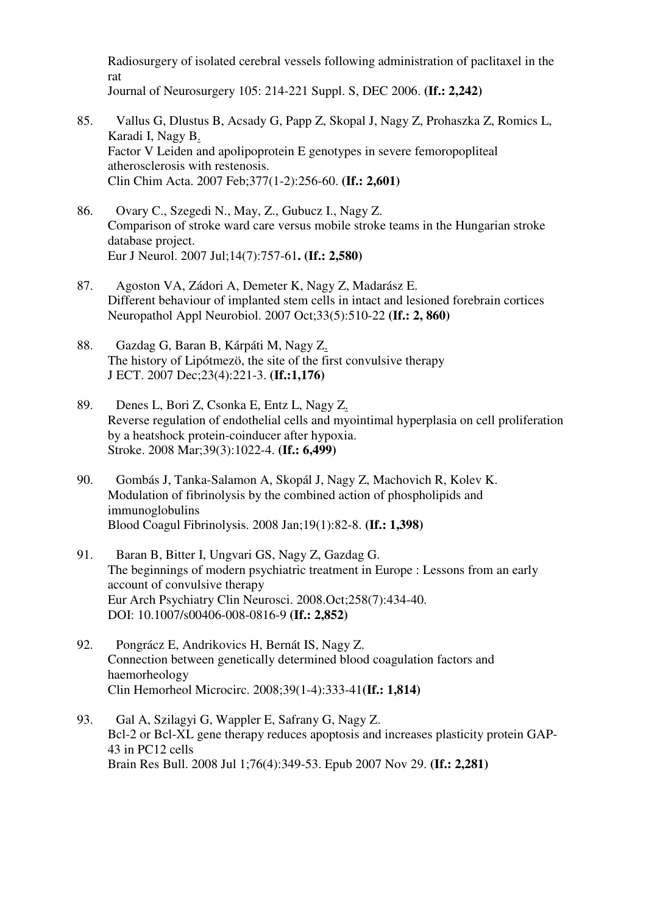Radiosurgery of isolated cerebral vessels following administration of paclitaxel in the rat Journal of Neurosurgery 105: 214-221 Suppl. S, DEC 2006. **(If.: 2,242)**

- 85. Vallus G, Dlustus B, Acsady G, Papp Z, Skopal J, Nagy Z, Prohaszka Z, Romics L, Karadi I, Nagy B. Factor V Leiden and apolipoprotein E genotypes in severe femoropopliteal atherosclerosis with restenosis. Clin Chim Acta. 2007 Feb;377(1-2):256-60. **(If.: 2,601)**
- 86. Ovary C., Szegedi N., May, Z., Gubucz I., Nagy Z. Comparison of stroke ward care versus mobile stroke teams in the Hungarian stroke database project. Eur J Neurol. 2007 Jul;14(7):757-61**. (If.: 2,580)**
- 87. Agoston VA, Zádori A, Demeter K, Nagy Z, Madarász E. Different behaviour of implanted stem cells in intact and lesioned forebrain cortices Neuropathol Appl Neurobiol. 2007 Oct;33(5):510-22 **(If.: 2, 860)**
- 88. Gazdag G, Baran B, Kárpáti M, Nagy Z. The history of Lipótmezö, the site of the first convulsive therapy J ECT. 2007 Dec;23(4):221-3. **(If.:1,176)**
- 89. Denes L, Bori Z, Csonka E, Entz L, Nagy Z. Reverse regulation of endothelial cells and myointimal hyperplasia on cell proliferation by a heatshock protein-coinducer after hypoxia. Stroke. 2008 Mar;39(3):1022-4. **(If.: 6,499)**
- 90. Gombás J, Tanka-Salamon A, Skopál J, Nagy Z, Machovich R, Kolev K. Modulation of fibrinolysis by the combined action of phospholipids and immunoglobulins Blood Coagul Fibrinolysis. 2008 Jan;19(1):82-8. **(If.: 1,398)**
- 91. Baran B, Bitter I, Ungvari GS, Nagy Z, Gazdag G. The beginnings of modern psychiatric treatment in Europe : Lessons from an early account of convulsive therapy Eur Arch Psychiatry Clin Neurosci. 2008.Oct;258(7):434-40. DOI: 10.1007/s00406-008-0816-9 **(If.: 2,852)**
- 92. Pongrácz E, Andrikovics H, Bernát IS, Nagy Z. Connection between genetically determined blood coagulation factors and haemorheology Clin Hemorheol Microcirc. 2008;39(1-4):333-41**(If.: 1,814)**
- 93. Gal A, Szilagyi G, Wappler E, Safrany G, Nagy Z. Bcl-2 or Bcl-XL gene therapy reduces apoptosis and increases plasticity protein GAP-43 in PC12 cells Brain Res Bull. 2008 Jul 1;76(4):349-53. Epub 2007 Nov 29. **(If.: 2,281)**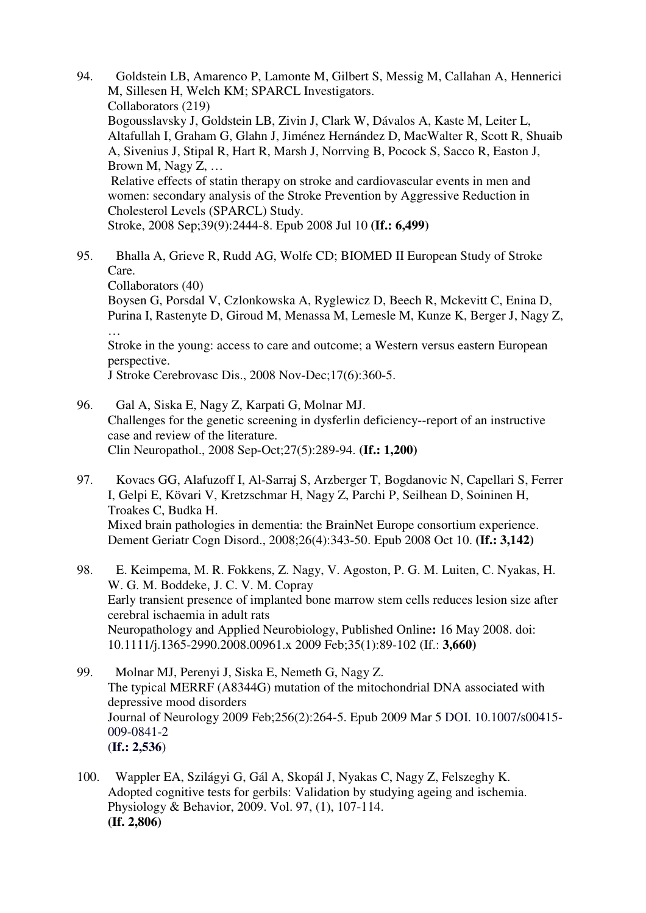- 94. Goldstein LB, Amarenco P, Lamonte M, Gilbert S, Messig M, Callahan A, Hennerici M, Sillesen H, Welch KM; SPARCL Investigators. Collaborators (219) Bogousslavsky J, Goldstein LB, Zivin J, Clark W, Dávalos A, Kaste M, Leiter L, Altafullah I, Graham G, Glahn J, Jiménez Hernández D, MacWalter R, Scott R, Shuaib A, Sivenius J, Stipal R, Hart R, Marsh J, Norrving B, Pocock S, Sacco R, Easton J, Brown M, Nagy Z, … Relative effects of statin therapy on stroke and cardiovascular events in men and women: secondary analysis of the Stroke Prevention by Aggressive Reduction in Cholesterol Levels (SPARCL) Study. Stroke, 2008 Sep;39(9):2444-8. Epub 2008 Jul 10 **(If.: 6,499)**
- 95. Bhalla A, Grieve R, Rudd AG, Wolfe CD; BIOMED II European Study of Stroke Care.

Collaborators (40)

Boysen G, Porsdal V, Czlonkowska A, Ryglewicz D, Beech R, Mckevitt C, Enina D, Purina I, Rastenyte D, Giroud M, Menassa M, Lemesle M, Kunze K, Berger J, Nagy Z, …

Stroke in the young: access to care and outcome; a Western versus eastern European perspective.

J Stroke Cerebrovasc Dis., 2008 Nov-Dec;17(6):360-5.

- 96. Gal A, Siska E, Nagy Z, Karpati G, Molnar MJ. Challenges for the genetic screening in dysferlin deficiency--report of an instructive case and review of the literature. Clin Neuropathol., 2008 Sep-Oct;27(5):289-94. **(If.: 1,200)**
- 97. Kovacs GG, Alafuzoff I, Al-Sarraj S, Arzberger T, Bogdanovic N, Capellari S, Ferrer I, Gelpi E, Kövari V, Kretzschmar H, Nagy Z, Parchi P, Seilhean D, Soininen H, Troakes C, Budka H. Mixed brain pathologies in dementia: the BrainNet Europe consortium experience. Dement Geriatr Cogn Disord., 2008;26(4):343-50. Epub 2008 Oct 10. **(If.: 3,142)**
- 98. E. Keimpema, M. R. Fokkens, Z. Nagy, V. Agoston, P. G. M. Luiten, C. Nyakas, H. W. G. M. Boddeke, J. C. V. M. Copray Early transient presence of implanted bone marrow stem cells reduces lesion size after cerebral ischaemia in adult rats Neuropathology and Applied Neurobiology, Published Online**:** 16 May 2008. doi: 10.1111/j.1365-2990.2008.00961.x 2009 Feb;35(1):89-102 (If.: **3,660)**
- 99. Molnar MJ, Perenyi J, Siska E, Nemeth G, Nagy Z. The typical MERRF (A8344G) mutation of the mitochondrial DNA associated with depressive mood disorders Journal of Neurology 2009 Feb;256(2):264-5. Epub 2009 Mar 5 DOI. 10.1007/s00415- 009-0841-2 (**If.: 2,536**)
- 100. Wappler EA, Szilágyi G, Gál A, Skopál J, Nyakas C, Nagy Z, Felszeghy K. Adopted cognitive tests for gerbils: Validation by studying ageing and ischemia. Physiology & Behavior, 2009. Vol. 97, (1), 107-114. **(If. 2,806)**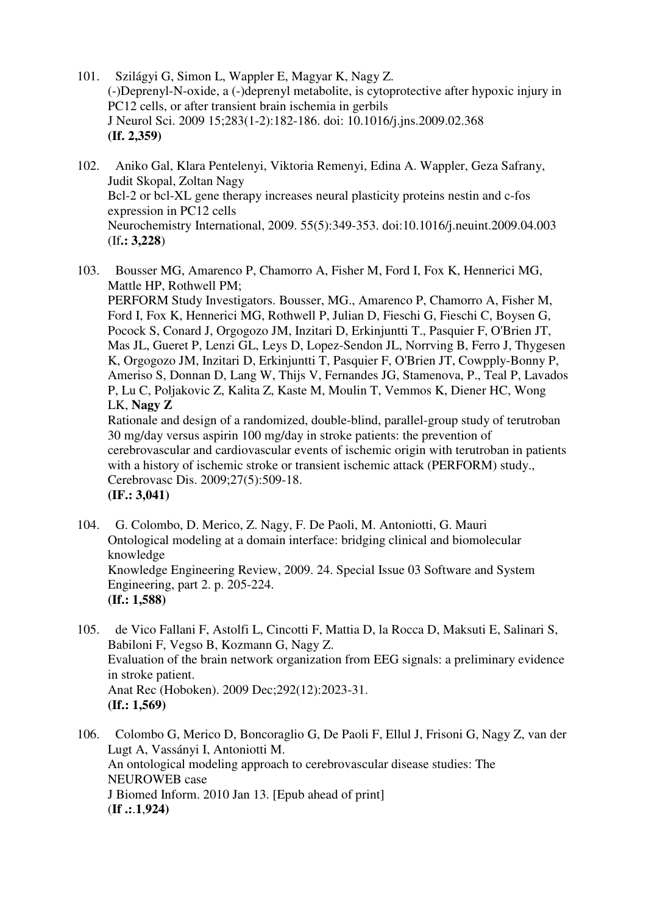- 101. Szilágyi G, Simon L, Wappler E, Magyar K, Nagy Z. (-)Deprenyl-N-oxide, a (-)deprenyl metabolite, is cytoprotective after hypoxic injury in PC12 cells, or after transient brain ischemia in gerbils J Neurol Sci. 2009 15;283(1-2):182-186. doi: 10.1016/j.jns.2009.02.368 **(If. 2,359)**
- 102. Aniko Gal, Klara Pentelenyi, Viktoria Remenyi, Edina A. Wappler, Geza Safrany, Judit Skopal, Zoltan Nagy Bcl-2 or bcl-XL gene therapy increases neural plasticity proteins nestin and c-fos expression in PC12 cells Neurochemistry International, 2009. 55(5):349-353. doi:10.1016/j.neuint.2009.04.003 (If**.: 3,228**)
- 103. Bousser MG, Amarenco P, Chamorro A, Fisher M, Ford I, Fox K, Hennerici MG, Mattle HP, Rothwell PM;

PERFORM Study Investigators. Bousser, MG., Amarenco P, Chamorro A, Fisher M, Ford I, Fox K, Hennerici MG, Rothwell P, Julian D, Fieschi G, Fieschi C, Boysen G, Pocock S, Conard J, Orgogozo JM, Inzitari D, Erkinjuntti T., Pasquier F, O'Brien JT, Mas JL, Gueret P, Lenzi GL, Leys D, Lopez-Sendon JL, Norrving B, Ferro J, Thygesen K, Orgogozo JM, Inzitari D, Erkinjuntti T, Pasquier F, O'Brien JT, Cowpply-Bonny P, Ameriso S, Donnan D, Lang W, Thijs V, Fernandes JG, Stamenova, P., Teal P, Lavados P, Lu C, Poljakovic Z, Kalita Z, Kaste M, Moulin T, Vemmos K, Diener HC, Wong LK, **Nagy Z**

Rationale and design of a randomized, double-blind, parallel-group study of terutroban 30 mg/day versus aspirin 100 mg/day in stroke patients: the prevention of cerebrovascular and cardiovascular events of ischemic origin with terutroban in patients with a history of ischemic stroke or transient ischemic attack (PERFORM) study., Cerebrovasc Dis. 2009;27(5):509-18. **(IF.: 3,041)**

- 104. G. Colombo, D. Merico, Z. Nagy, F. De Paoli, M. Antoniotti, G. Mauri Ontological modeling at a domain interface: bridging clinical and biomolecular knowledge Knowledge Engineering Review, 2009. 24. Special Issue 03 Software and System Engineering, part 2. p. 205-224. **(If.: 1,588)**
- 105. de Vico Fallani F, Astolfi L, Cincotti F, Mattia D, la Rocca D, Maksuti E, Salinari S, Babiloni F, Vegso B, Kozmann G, Nagy Z. Evaluation of the brain network organization from EEG signals: a preliminary evidence in stroke patient. Anat Rec (Hoboken). 2009 Dec;292(12):2023-31. **(If.: 1,569)**
- 106. Colombo G, Merico D, Boncoraglio G, De Paoli F, Ellul J, Frisoni G, Nagy Z, van der Lugt A, Vassányi I, Antoniotti M. An ontological modeling approach to cerebrovascular disease studies: The NEUROWEB case J Biomed Inform. 2010 Jan 13. [Epub ahead of print] (**If .:**.**1**,**924)**